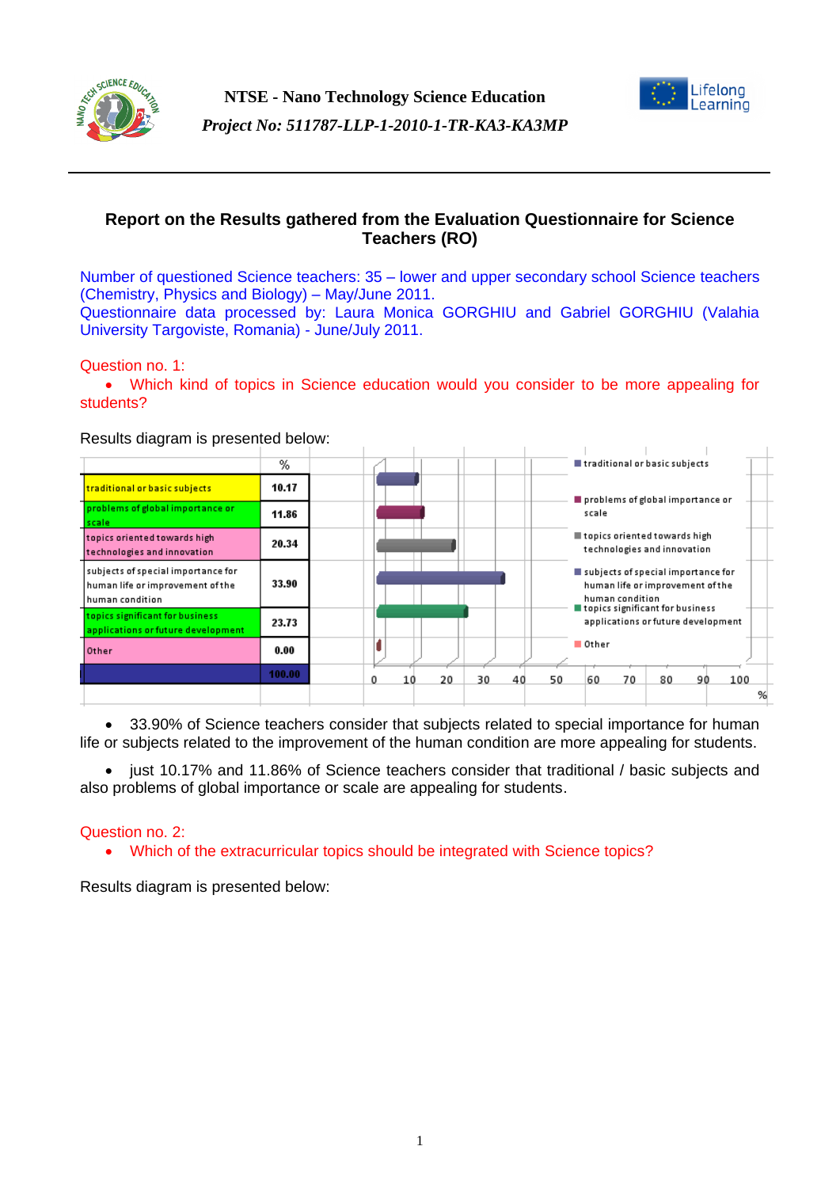



# **Report on the Results gathered from the Evaluation Questionnaire for Science Teachers (RO)**

Number of questioned Science teachers: 35 – lower and upper secondary school Science teachers (Chemistry, Physics and Biology) – May/June 2011. Questionnaire data processed by: Laura Monica GORGHIU and Gabriel GORGHIU (Valahia University Targoviste, Romania) - June/July 2011.

## Question no. 1:

 Which kind of topics in Science education would you consider to be more appealing for students?

Results diagram is presented below:



 33.90% of Science teachers consider that subjects related to special importance for human life or subjects related to the improvement of the human condition are more appealing for students.

• just 10.17% and 11.86% of Science teachers consider that traditional / basic subjects and also problems of global importance or scale are appealing for students.

## Question no. 2:

Which of the extracurricular topics should be integrated with Science topics?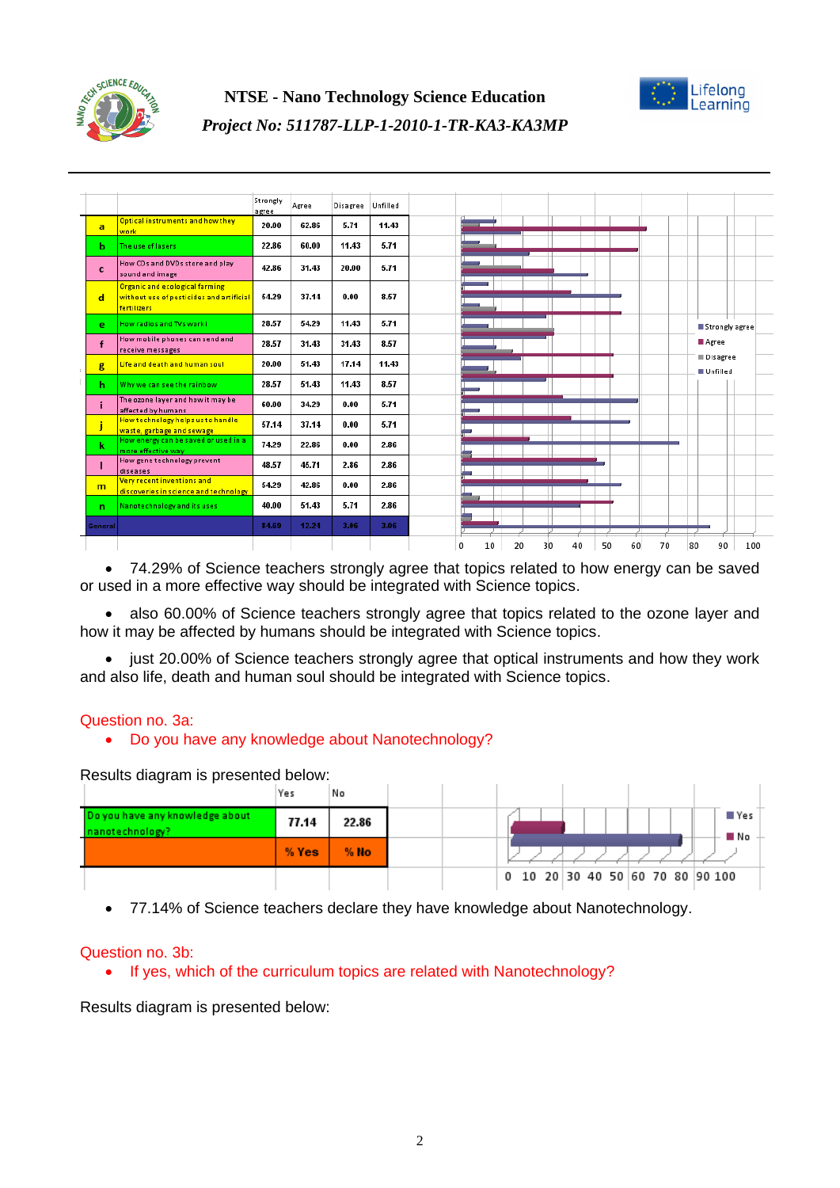



#### Strongly Agree Disagree Unfilled agree Optical instruments and how the 20.00 62.86  $5.71$ 11.43  $\overline{a}$ vork 22.86 60.00 11.43  $5.71$  $\mathbf{h}$ .<br>The use of laser: How CDs and DVDs store and play.  $\mathbf{c}$ 42.86 31.43 20.00  $5.71$ sound and image **Organic and ecological farming** without use of pesticides and artificial 54.29 37.14  $0.00$ 8.57  $\overline{d}$ Fartilizari **How radios and TVs work i** 28.57 54.29 11.43 5.74 k Strongly agree How mobile phones can send and Agree  $\mathbf{f}$ 28.57 31.43 31.43 8.57 receive messages Disagree Life and death and human soul 20.00 51.43 17.14 11.43  $\mathbf{g}$ **Ellefilled** Why we can see the rainbow 28.57 51.43 11.43 8.57  $\mathbf{h}$ The ozone layer and how it may be 60.00 34.29  $0.00$ 5.71 j. affected by humans nected by namans<br><mark>low technology helps us to handl</mark>: 57.14 37.14  $0.00$  $5.71$ h vaste, garbage and sewage<br>low energy can be saved or used 74.29 22.86  $0.00$ 2.86 k now analysian are control to<br>more effective way<br>How gene technology prevent 48.57 45.71 2.86 2.86  $\mathbf{I}$ diseases <u>.........</u><br>Very recent inventions and 54.29 42.86  $0.00$ 2.86  $m$ <mark>discoveries in science and tech</mark> 51.43 2.86 **Nanotechnology and its uses** 40.00 5.71  $\overline{a}$ 84.69 12.24 3.06 3.06 enera 0  $10$ 20  $30$ 40  $50$  $60$ 70 80 90 100

 74.29% of Science teachers strongly agree that topics related to how energy can be saved or used in a more effective way should be integrated with Science topics.

 also 60.00% of Science teachers strongly agree that topics related to the ozone layer and how it may be affected by humans should be integrated with Science topics.

• just 20.00% of Science teachers strongly agree that optical instruments and how they work and also life, death and human soul should be integrated with Science topics.

## Question no. 3a:

## Do you have any knowledge about Nanotechnology?

Results diagram is presented below:

|                                                    | Yes   | No     |                                  |
|----------------------------------------------------|-------|--------|----------------------------------|
| Do you have any knowledge about<br>nanotechnology? | 77.14 | 22.86  | ≣ Yes<br>∎ No                    |
|                                                    | % Yes | $%$ No |                                  |
|                                                    |       |        | 0 10 20 30 40 50 60 70 80 90 100 |

• 77.14% of Science teachers declare they have knowledge about Nanotechnology.

#### Question no. 3b:

• If yes, which of the curriculum topics are related with Nanotechnology?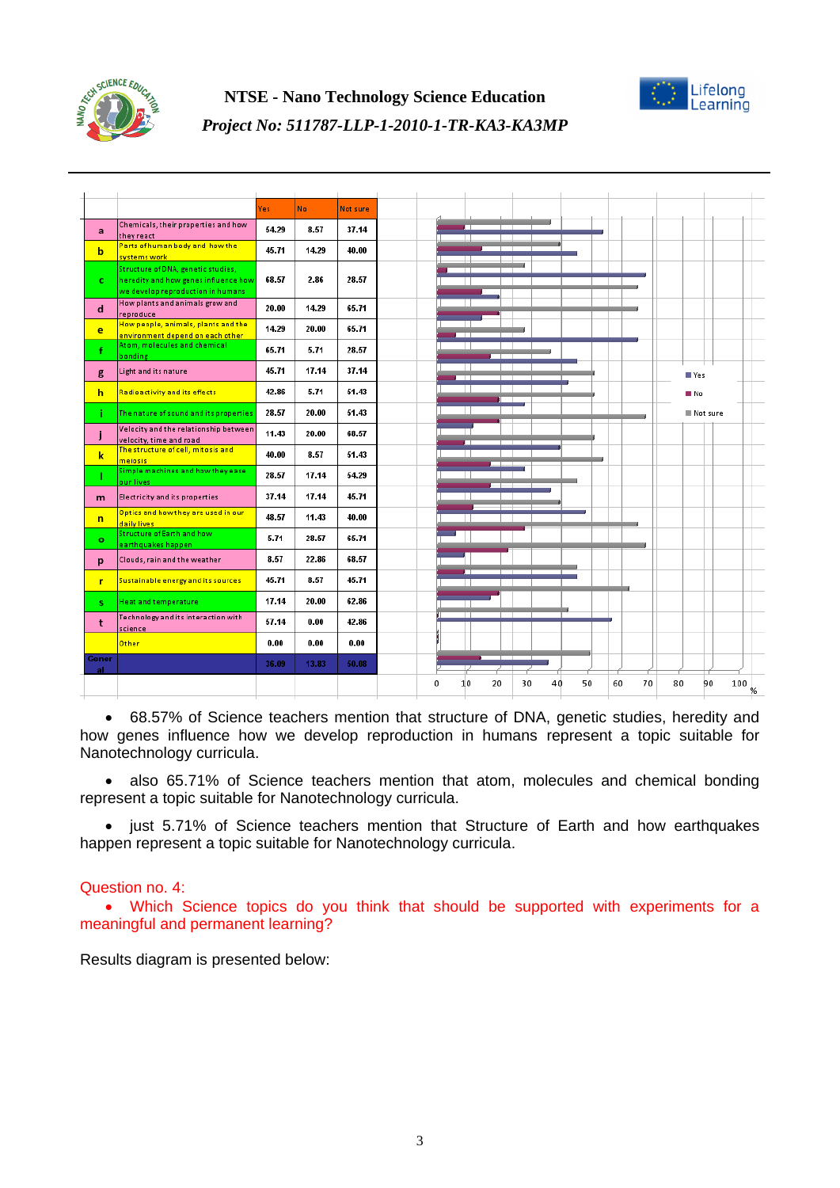



|              |                                                                           | Yes   | No.   | Not sure |
|--------------|---------------------------------------------------------------------------|-------|-------|----------|
| a            | Chemicals, their properties and how<br>they react                         | 54.29 | 8.57  | 37.14    |
| b            | Parts of human body and how the<br>systems work                           | 45.71 | 14.29 | 40.00    |
|              | Structure of DNA, genetic studies,                                        |       |       |          |
| $\mathbf{c}$ | heredity and how genes influence how<br>we develop reproduction in humans | 68.57 | 2.86  | 28.57    |
| $\mathbf d$  | How plants and animals grow and<br>reproduce                              | 20.00 | 14.29 | 65.71    |
| e            | How people, animals, plants and the<br>environment depend on each other   | 14.29 | 20.00 | 65.71    |
|              | Atom, molecules and chemical<br>bonding                                   | 65.71 | 5.71  | 28.57    |
| g            | Light and its nature                                                      | 45.71 | 17.14 | 37.14    |
| h.           | <b>Radioactivity and its effects</b>                                      | 42.86 | 5.71  | 51.43    |
| ĩ.           | The nature of sound and its properties                                    | 28.57 | 20.00 | 51.43    |
| j            | Velocity and the relationship between                                     | 11.43 | 20.00 | 68.57    |
| k            | velocity, time and road<br>The structure of cell, mitosis and             | 40.00 | 8.57  | 51.43    |
|              | meiosis<br>Simple machines and how they ease                              | 28.57 | 17.14 | 54.29    |
| m            | our lives<br><b>Electricity and its properties</b>                        | 37.14 | 17.14 | 45.71    |
|              | Optics and how they are used in our                                       | 48.57 | 11.43 | 40.00    |
| $\mathsf{n}$ | daily lives<br><b>Structure of Earth and how</b>                          |       |       |          |
| $\bullet$    | earthquakes happen                                                        | 5.71  | 28.57 | 65.71    |
| p            | Clouds, rain and the weather                                              | 8.57  | 22.86 | 68.57    |
| r.           | Sustainable energy and its sources                                        | 45.71 | 8.57  | 45.71    |
| S            | <b>Heat and temperature</b>                                               | 17.14 | 20.00 | 62.86    |
| t            | Technology and its interaction with<br>science                            | 57.14 | 0.00  | 42.86    |
|              | <b>Other</b>                                                              | 0.00  | 0.00  | 0.00     |
| Gener<br>al. |                                                                           | 36.09 | 13.83 | 50.08    |
|              |                                                                           |       |       |          |

*Project No: 511787-LLP-1-2010-1-TR-KA3-KA3MP*

 68.57% of Science teachers mention that structure of DNA, genetic studies, heredity and how genes influence how we develop reproduction in humans represent a topic suitable for Nanotechnology curricula.

 also 65.71% of Science teachers mention that atom, molecules and chemical bonding represent a topic suitable for Nanotechnology curricula.

• just 5.71% of Science teachers mention that Structure of Earth and how earthquakes happen represent a topic suitable for Nanotechnology curricula.

## Question no. 4:

 Which Science topics do you think that should be supported with experiments for a meaningful and permanent learning?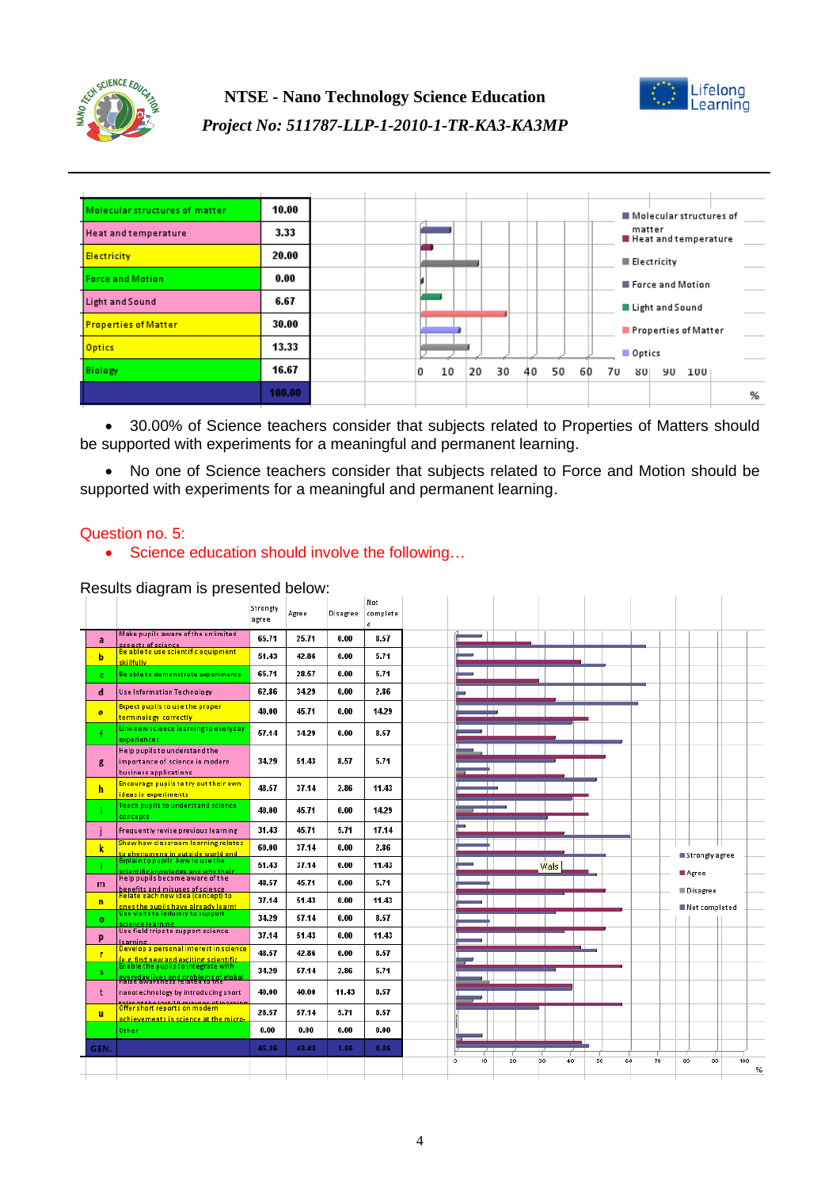



| Molecular structures of matter | 10.00  |  |         |          |          |    |                       | Molecular structures of |  |
|--------------------------------|--------|--|---------|----------|----------|----|-----------------------|-------------------------|--|
| <b>Heat and temperature</b>    | 3.33   |  |         |          |          |    | matter                | Heat and temperature    |  |
| <b>Electricity</b>             | 20.00  |  |         |          |          |    |                       | <b>Electricity</b>      |  |
| <b>Force and Motion</b>        | 0.00   |  |         |          |          |    |                       | Force and Motion        |  |
| Light and Sound                | 6.67   |  |         |          |          |    |                       | Light and Sound         |  |
| <b>Properties of Matter</b>    | 30.00  |  |         |          |          |    |                       | Properties of Matter    |  |
| <b>Optics</b>                  | 13.33  |  |         |          |          |    | Optics                |                         |  |
| Biology                        | 16.67  |  | 10<br>0 | 30<br>20 | 50<br>40 | 60 | 7υ<br>80 <sub>1</sub> | 100<br>90               |  |
|                                | 100.00 |  |         |          |          |    |                       |                         |  |

 30.00% of Science teachers consider that subjects related to Properties of Matters should be supported with experiments for a meaningful and permanent learning.

• No one of Science teachers consider that subjects related to Force and Motion should be supported with experiments for a meaningful and permanent learning.

## Question no. 5:

• Science education should involve the following...

|                |                                                                                           | Strongly<br>agree | Agree | Disagree | Not<br>complete<br>d |
|----------------|-------------------------------------------------------------------------------------------|-------------------|-------|----------|----------------------|
| a              | Make pupils aware of the unlimited<br>aspects of science                                  | 65.71             | 25.71 | 0.00     | 8.57                 |
| b              | Be able to use scientific equipment<br>skillfullv.                                        | 51.43             | 42.86 | 0.00     | 5.71                 |
| c              | Be able to demonstrate experiments                                                        | 65.71             | 28.57 | 0.00     | 5.71                 |
| d              | <b>Use Information Technology</b>                                                         | 62.86             | 34.29 | 0.00     | 2.86                 |
| e              | <b>Expect pupils to use the proper</b><br>terminology correctly                           | 40.00             | 45.71 | 0.00     | 14.29                |
|                | Link new science learningto everyday<br>experiences                                       | 57.14             | 34.29 | 0.00     | 8.57                 |
| g              | Help pupils to understand the<br>importance of science in modern<br>business applications | 34.29             | 51.43 | 8.57     | 5.71                 |
| h              | Encourage pupils to try out their own<br>ideas in experiments                             | 48.57             | 37.14 | 2.86     | 11.43                |
|                | <b>Teach pupils to understand science</b><br>concepts                                     | 40.00             | 45.71 | 0.00     | 14.29                |
|                | Frequently revise previous learning                                                       | 31.43             | 45.71 | 5.71     | 17.14                |
| $\mathbf k$    | Show how classroom learning relates                                                       | 60.00             | 37.14 | 0.00     | 2.86                 |
|                | <mark>to phenomena in outside world and .</mark><br>Explain to pupils  how to use the     | 51.43             | 37.14 | 0.00     | 11.43                |
| m              | scientific knowledge and why their<br>Help pupils become aware of the                     | 48.57             | 45.71 | 0.00     | 5.71                 |
| $\overline{ }$ | benefits and misuses of science<br>Relate each new idea (concept) to                      | 37.14             | 51.43 | 0.00     | 11.43                |
| $\circ$        | ones the pupils have already learnt<br>Use visits to industry to support                  | 34.29             | 57.14 | 0.00     | 8.57                 |
| p              | <u>science learning.</u><br>Use field trips to support science                            | 37.14             | 51.43 | 0.00     | 11.43                |
| T              | learning<br>Develop a personal interest in science                                        | 48.57             | 42.86 | 0.00     | 8.57                 |
| s              | le.g. find new and exciting scientific<br>Enable the pupils to integrate with             | 34.29             | 57.14 | 2.86     | 5.71                 |
|                | <mark>RYRZYWIYER BOY ARSEBLADS AL elobal</mark>                                           |                   |       |          |                      |
| t              | nanotechnology by introducing short<br>فعالد عفيلهم عميس فتستحدث والمستمر                 | 40.00             | 40.00 | 11.43    | 8.57                 |
| u              | Offer short reports on modern<br>achievements in science at the micro-                    | 28.57             | 57.14 | 5.71     | 8.57                 |
|                | Other                                                                                     | 0.00              | 0.00  | 0.00     | 0.00                 |
|                |                                                                                           |                   |       |          |                      |
| GEN.           |                                                                                           | 45.86             | 43.43 | 1.86     | 8.86                 |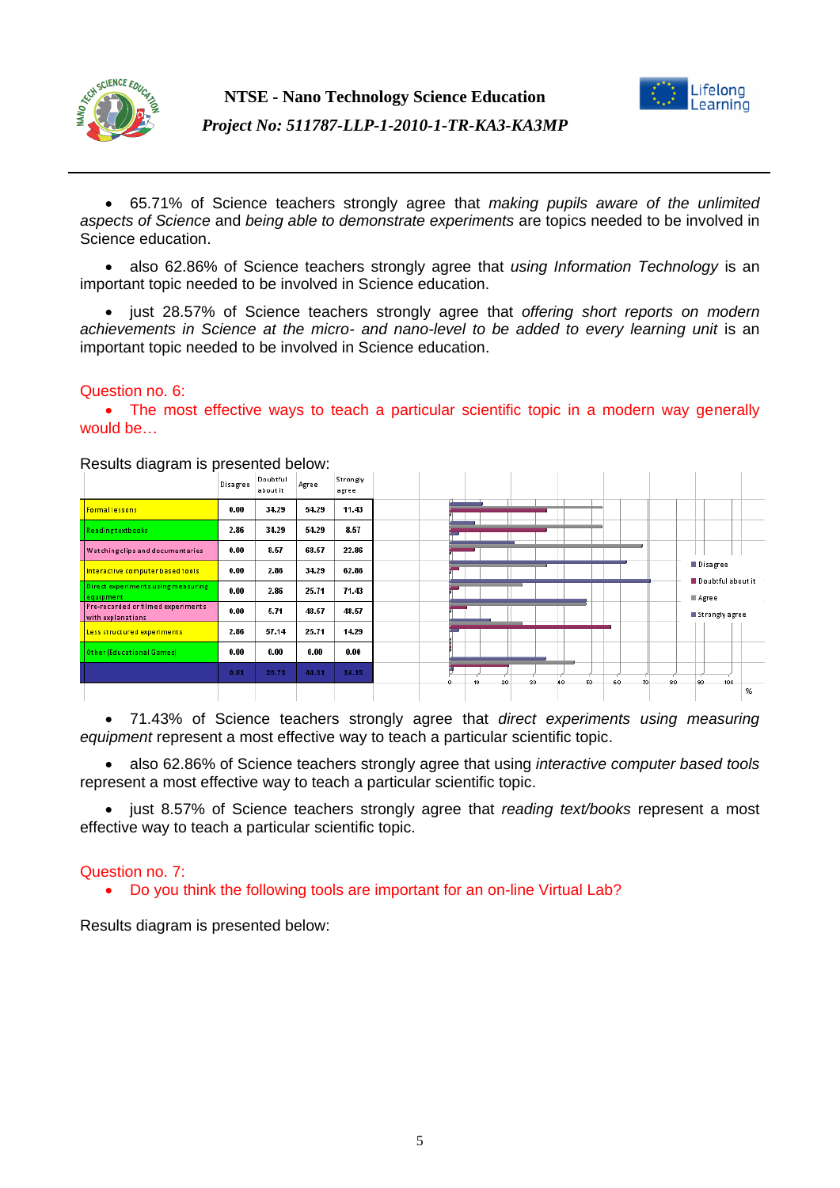



 65.71% of Science teachers strongly agree that *making pupils aware of the unlimited aspects of Science* and *being able to demonstrate experiments* are topics needed to be involved in Science education.

 also 62.86% of Science teachers strongly agree that *using Information Technology* is an important topic needed to be involved in Science education.

 just 28.57% of Science teachers strongly agree that *offering short reports on modern achievements in Science at the micro- and nano-level to be added to every learning unit* is an important topic needed to be involved in Science education.

## Question no. 6:

• The most effective ways to teach a particular scientific topic in a modern way generally would be…

| ັ                                                       | Disagree | Doubtful<br>about it | Agree | Strongly<br>agree |                                      |
|---------------------------------------------------------|----------|----------------------|-------|-------------------|--------------------------------------|
| <b>Formal lessons</b>                                   | 0.00     | 34.29                | 54.29 | 11.43             |                                      |
| Readingtextbooks                                        | 2.86     | 34.29                | 54.29 | 8.57              |                                      |
| <b>Watching clips and documentaries</b>                 | 0.00     | 8.57                 | 68.57 | 22.86             |                                      |
| Interactive computer based tools                        | 0.00     | 2.86                 | 34.29 | 62.86             | <b>Disagree</b><br>Doubtful about it |
| Direct experiments using measuring<br>equipment         | 0.00     | 2.86                 | 25.71 | 71.43             | Agree                                |
| Pre-recorded or filmed experiments<br>with explanations | 0.00     | 5.71                 | 48.57 | 48.57             | Strongly agree                       |
| Less structured experiments                             | 2.86     | 57.14                | 25.71 | 14.29             |                                      |
| Other (Educational Games)                               | 0.00     | 0.00                 | 0.00  | 0.00              |                                      |
|                                                         | 0.81     | 20.73                | 44.31 | 34.15             | 80<br>100<br>60<br>70<br>30          |
|                                                         |          |                      |       |                   |                                      |

Results diagram is presented below:

 71.43% of Science teachers strongly agree that *direct experiments using measuring equipment* represent a most effective way to teach a particular scientific topic.

 also 62.86% of Science teachers strongly agree that using *interactive computer based tools* represent a most effective way to teach a particular scientific topic.

 just 8.57% of Science teachers strongly agree that *reading text/books* represent a most effective way to teach a particular scientific topic.

#### Question no. 7:

Do you think the following tools are important for an on-line Virtual Lab?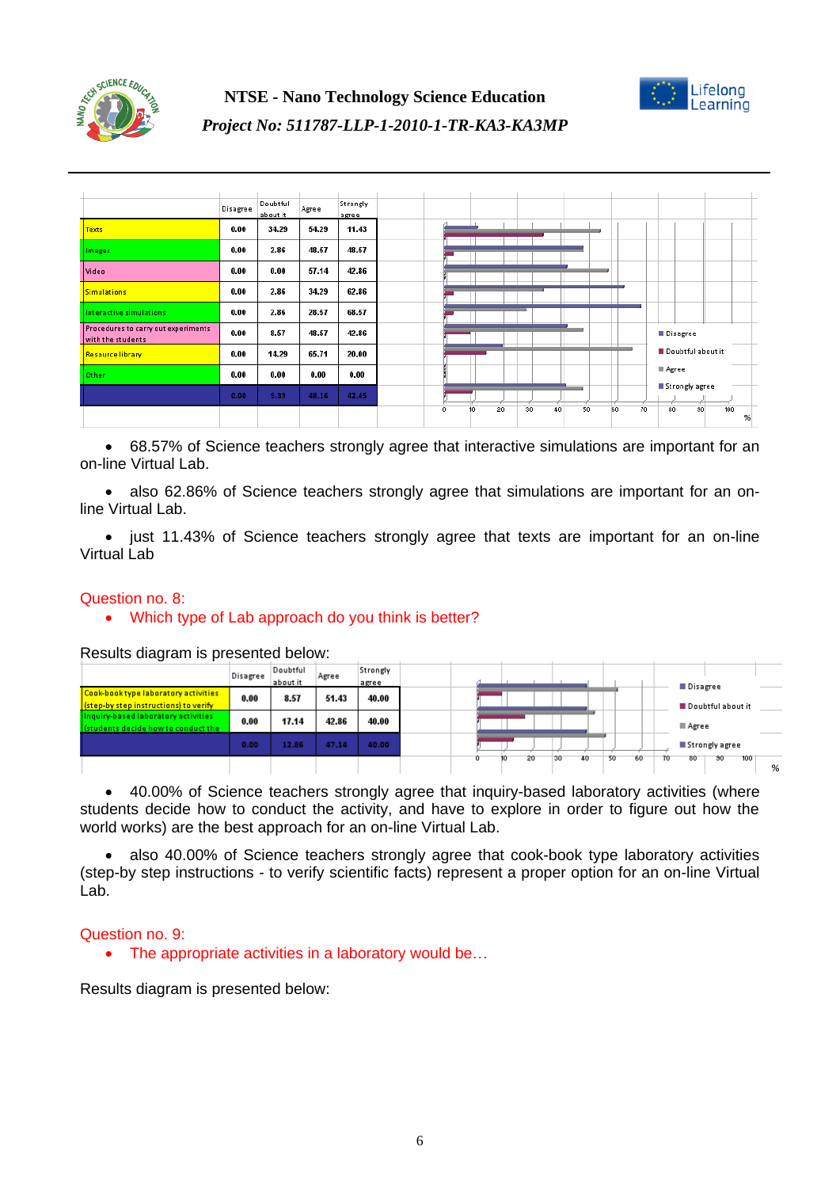



|                                                          | Disagree | Doubtful<br>about it | Agree | Strongly<br>agree |
|----------------------------------------------------------|----------|----------------------|-------|-------------------|
| <b>Texts</b>                                             | 0.00     | 34.29                | 54.29 | 11.43             |
| Images                                                   | 0.00     | 2.86                 | 48.57 | 48.57             |
| Video                                                    | 0.00     | 0.00                 | 57.14 | 42.86             |
| <b>Simulations</b>                                       | 0.00     | 2.86                 | 34.29 | 62.86             |
| Interactive simulations                                  | 0.00     | 2.86                 | 28.57 | 68.57             |
| Procedures to carry out experiments<br>with the students | 0.00     | 8.57                 | 48.57 | 42.86             |
| <b>Resource library</b>                                  | 0.00     | 14.29                | 65.71 | 20.00             |
| Other                                                    | 0.00     | 0.00                 | 0.00  | 0.00              |
|                                                          | 0.00     | 9.39                 | 48.16 | 42.45             |
|                                                          |          |                      |       |                   |

 68.57% of Science teachers strongly agree that interactive simulations are important for an on-line Virtual Lab.

 also 62.86% of Science teachers strongly agree that simulations are important for an online Virtual Lab.

• just 11.43% of Science teachers strongly agree that texts are important for an on-line Virtual Lab

#### Question no. 8:

## • Which type of Lab approach do you think is better?

Results diagram is presented below:<br> **Example Disample Disample Doubtful** Strongly Agree about it agrej Disagree Cook-book type laboratory activities  $0.00$ 8.57 51.43 40.00 (step-by step instructions) to verify Doubtful about it based laboratory activiti 17.14 42.86 40.00  $0.00$ ■ Agree cide how to co  $0.00$ 12.86 47.14 40.00 Strongly agree 30 40 50 60 80 30 20 70 100 %

 40.00% of Science teachers strongly agree that inquiry-based laboratory activities (where students decide how to conduct the activity, and have to explore in order to figure out how the world works) are the best approach for an on-line Virtual Lab.

 also 40.00% of Science teachers strongly agree that cook-book type laboratory activities (step-by step instructions - to verify scientific facts) represent a proper option for an on-line Virtual Lab.

#### Question no. 9:

• The appropriate activities in a laboratory would be...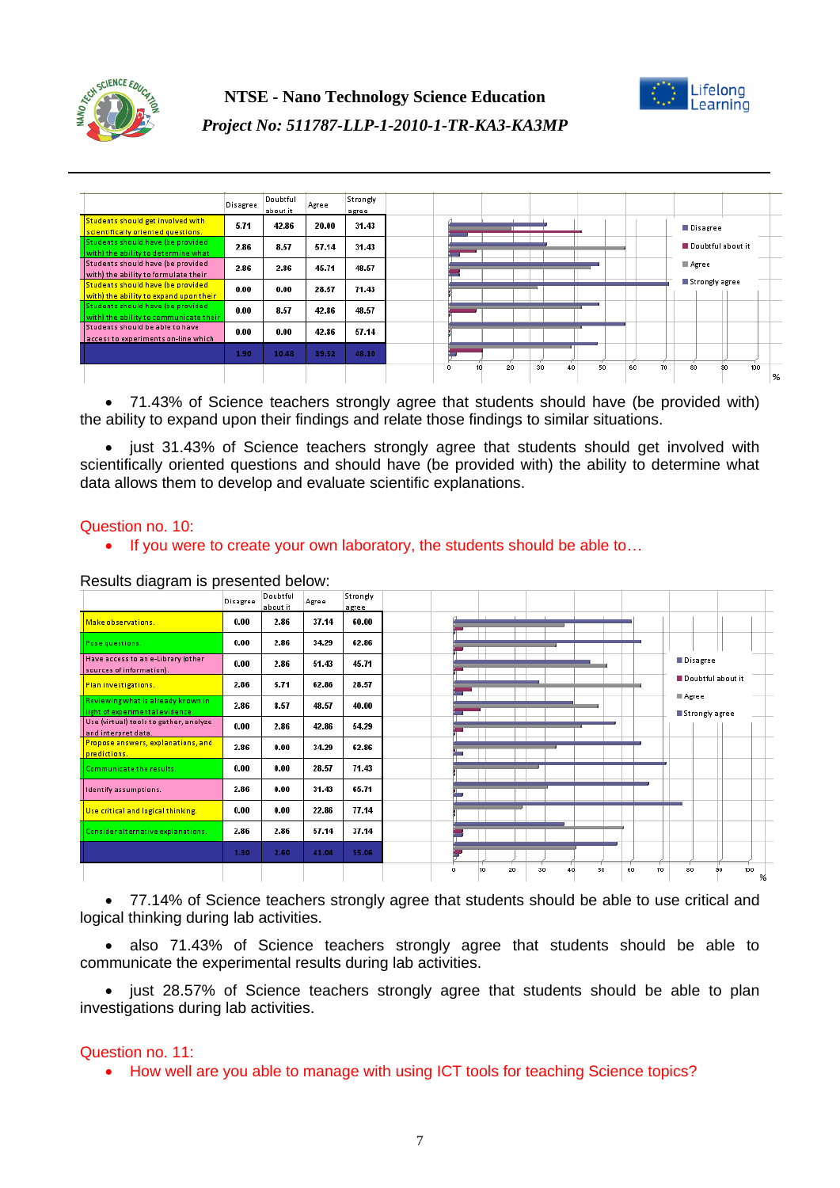



Doubtful Strongly Disagree Agree about it agree Students should get involved with  $5.71$ 42.86 31.43 20.00 Disagree <mark>ccientifically oriented questions.</mark><br>Itudents should have (be provide) Doubtful about it 2.86 8.57 57.14 31.43 with) the ability to deter mine what Students should have (be provided  $\blacksquare$  Agree 2.86  $286$ 45.71 48.57 with) the ability to formulate their Strongly agree <u>Students should have (be provider</u>  $0.00$  $0.00$ 28.57 71.43 organica analysis have the provided<br>with) the ability to expand upon thei<br>Students should have (be provided 42.86 48.57  $0.00$ 8.57 vith) the ability to co nicate the Students should be able to have  $0.00$  $0.00$ 42.86 57.14 sccess to experiments an-line which 10.48 39.52 48.10 1.90 9ñ  $\overline{30}$  $40$ s. 60  $\overline{70}$  $\overline{80}$ 100  $\frac{96}{25}$ 

 71.43% of Science teachers strongly agree that students should have (be provided with) the ability to expand upon their findings and relate those findings to similar situations.

• just 31.43% of Science teachers strongly agree that students should get involved with scientifically oriented questions and should have (be provided with) the ability to determine what data allows them to develop and evaluate scientific explanations.

#### Question no. 10:

• If you were to create your own laboratory, the students should be able to...



Results diagram is presented below:

 77.14% of Science teachers strongly agree that students should be able to use critical and logical thinking during lab activities.

 also 71.43% of Science teachers strongly agree that students should be able to communicate the experimental results during lab activities.

• just 28.57% of Science teachers strongly agree that students should be able to plan investigations during lab activities.

#### Question no. 11:

• How well are you able to manage with using ICT tools for teaching Science topics?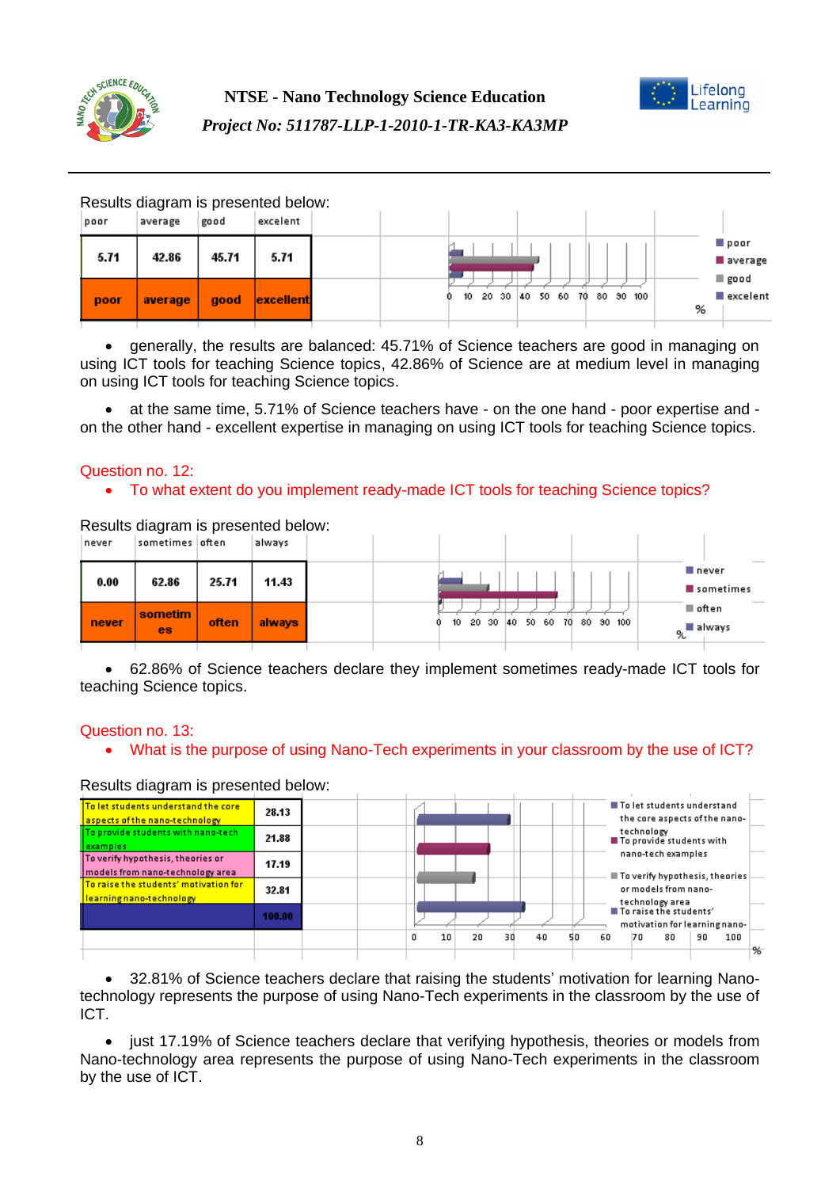



Results diagram is presented below:

| poor | average | good  | excelent  |  |         |                       |           |   |                  |
|------|---------|-------|-----------|--|---------|-----------------------|-----------|---|------------------|
| 5.71 | 42.86   | 45.71 | 5.71      |  |         |                       |           |   | poor<br>average  |
| poor | average | good  | excellent |  | $10-10$ | 20 30 40 50 60<br>70. | 80 90 100 | % | good<br>excelent |

 generally, the results are balanced: 45.71% of Science teachers are good in managing on using ICT tools for teaching Science topics, 42.86% of Science are at medium level in managing on using ICT tools for teaching Science topics.

 at the same time, 5.71% of Science teachers have - on the one hand - poor expertise and on the other hand - excellent expertise in managing on using ICT tools for teaching Science topics.

## Question no. 12:

## To what extent do you implement ready-made ICT tools for teaching Science topics?

| never | Results diagram is presented below:<br>sometimes often |       | always |  |                       |       |          |     |           |                                   |
|-------|--------------------------------------------------------|-------|--------|--|-----------------------|-------|----------|-----|-----------|-----------------------------------|
| 0.00  | 62.86                                                  | 25.71 | 11.43  |  |                       |       |          |     |           | _____<br>■ never<br>sometimes     |
| never | sometim<br>es                                          | often | always |  | 10 <sub>10</sub><br>n | 20 30 | 40 50 60 | 70. | 80 90 100 | ■ often<br>ดู <sup>∎</sup> always |

 62.86% of Science teachers declare they implement sometimes ready-made ICT tools for teaching Science topics.

#### Question no. 13:

What is the purpose of using Nano-Tech experiments in your classroom by the use of ICT?

#### Results diagram is presented below:

| To let students understand the core<br>aspects of the nano-technology | 28.13  |  |    |    |    |    |    |    |            | ■ To let students understand<br>the core aspects of the nano- |    |     |   |
|-----------------------------------------------------------------------|--------|--|----|----|----|----|----|----|------------|---------------------------------------------------------------|----|-----|---|
| To provide students with nano-tech<br>lexamples                       | 21.88  |  |    |    |    |    |    |    | technology | To provide students with<br>nano-tech examples                |    |     |   |
| To verify hypothesis, theories or<br>models from nano-technology area | 17.19  |  |    |    |    |    |    |    |            | To verify hypothesis, theories                                |    |     |   |
| To raise the students' motivation for<br>learning nano-technology     | 32.81  |  |    |    |    |    |    |    |            | or models from nano-<br>technology area                       |    |     |   |
|                                                                       | 100.00 |  |    |    |    |    |    |    |            | To raise the students'<br>motivation for learning nano-       |    |     |   |
|                                                                       |        |  | 10 | 20 | 30 | 40 | 50 | 60 | 70         | 80                                                            | 90 | 100 | % |

 32.81% of Science teachers declare that raising the students' motivation for learning Nanotechnology represents the purpose of using Nano-Tech experiments in the classroom by the use of ICT.

• just 17.19% of Science teachers declare that verifying hypothesis, theories or models from Nano-technology area represents the purpose of using Nano-Tech experiments in the classroom by the use of ICT.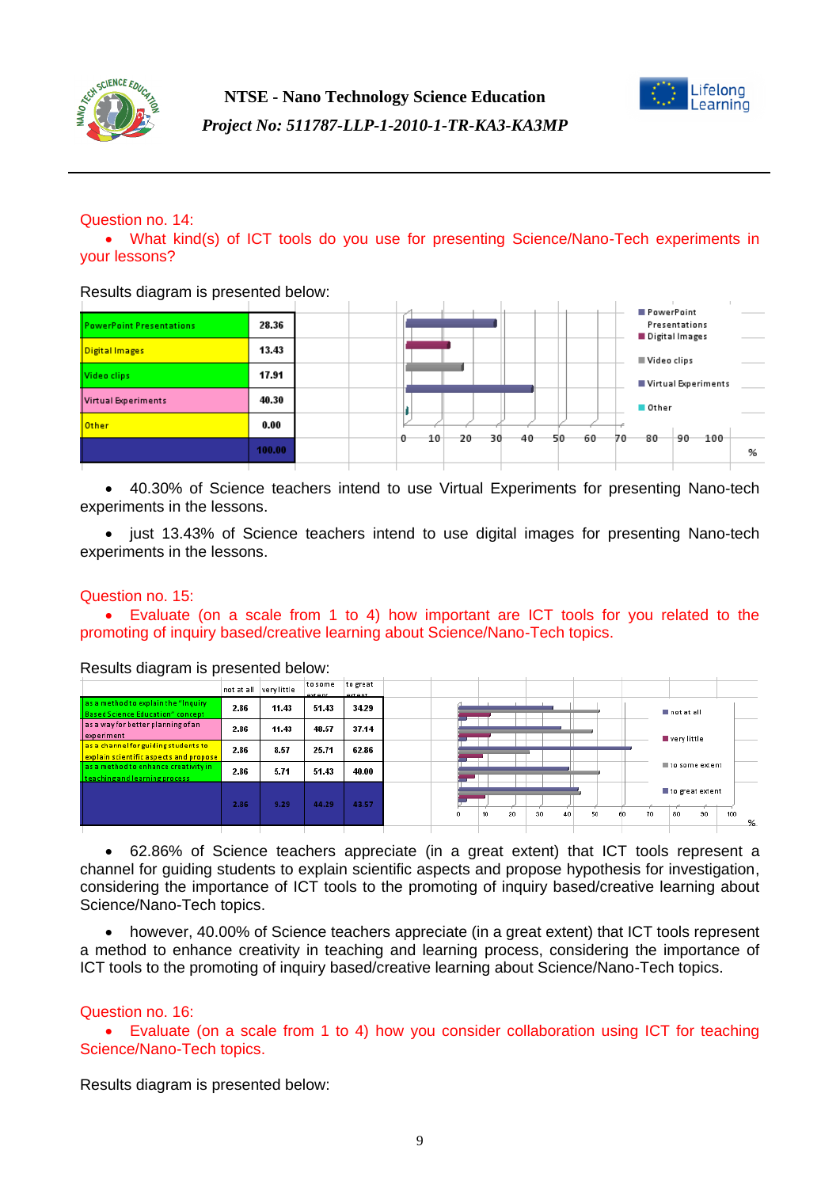



Question no. 14:

 What kind(s) of ICT tools do you use for presenting Science/Nano-Tech experiments in your lessons?

Results diagram is presented below:

| <b>PowerPoint Presentations</b> | 28.36  |  |   |    |        |    |     |     |    |    | PowerPoint                                   | Presentations |     |   |
|---------------------------------|--------|--|---|----|--------|----|-----|-----|----|----|----------------------------------------------|---------------|-----|---|
| Digital Images                  | 13.43  |  |   |    |        |    |     |     |    |    | Digital Images<br>$\blacksquare$ Video clips |               |     |   |
| Video clips                     | 17.91  |  |   |    |        |    |     |     |    |    | Virtual Experiments                          |               |     |   |
| Virtual Experiments             | 40.30  |  |   |    |        |    |     |     |    |    | Other                                        |               |     |   |
| <b>Other</b>                    | 0.00   |  | o | 10 | $20 -$ | 30 | -40 | -50 | 60 | 70 | 80                                           | 90            | 100 |   |
|                                 | 100.00 |  |   |    |        |    |     |     |    |    |                                              |               |     | % |

 40.30% of Science teachers intend to use Virtual Experiments for presenting Nano-tech experiments in the lessons.

• just 13.43% of Science teachers intend to use digital images for presenting Nano-tech experiments in the lessons.

#### Question no. 15:

 Evaluate (on a scale from 1 to 4) how important are ICT tools for you related to the promoting of inquiry based/creative learning about Science/Nano-Tech topics.

|                                                                                 |      | not at all very little | to some<br>extent | to great<br>extent |   |    |    |    |    |    |    |    |                 |     |   |
|---------------------------------------------------------------------------------|------|------------------------|-------------------|--------------------|---|----|----|----|----|----|----|----|-----------------|-----|---|
| as a method to explain the "Inquiry"<br><b>Based Science Education" concept</b> | 2.86 | 11.43                  | 51.43             | 34.29              |   |    |    |    |    |    |    |    | not at all      |     |   |
| as a way for better planning of an<br>experiment                                | 2.86 | 11.43                  | 48.57             | 37.14              |   |    |    |    |    |    |    |    | very little     |     |   |
| as a channel for guiding students to<br>explain scientific aspects and propose  | 2.86 | 8.57                   | 25.71             | 62.86              |   |    |    |    |    |    |    |    |                 |     |   |
| as a method to enhance creativity in<br>teaching and learning process           | 2.86 | 5.71                   | 51.43             | 40.00              |   |    |    |    |    |    |    |    | to some extent  |     |   |
|                                                                                 | 2.86 | 9.29                   | 44.29             | 43.57              |   |    |    |    |    |    |    |    | to great extent |     |   |
|                                                                                 |      |                        |                   |                    | ٥ | 10 | 20 | 30 | 40 | 50 | 60 | 70 | 30<br>80        | 100 | % |
|                                                                                 |      |                        |                   |                    |   |    |    |    |    |    |    |    |                 |     |   |

Results diagram is presented below:

 62.86% of Science teachers appreciate (in a great extent) that ICT tools represent a channel for guiding students to explain scientific aspects and propose hypothesis for investigation, considering the importance of ICT tools to the promoting of inquiry based/creative learning about Science/Nano-Tech topics.

 however, 40.00% of Science teachers appreciate (in a great extent) that ICT tools represent a method to enhance creativity in teaching and learning process, considering the importance of ICT tools to the promoting of inquiry based/creative learning about Science/Nano-Tech topics.

#### Question no. 16:

 Evaluate (on a scale from 1 to 4) how you consider collaboration using ICT for teaching Science/Nano-Tech topics.